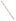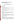# **Technical Factsheet on: HEPTACHLOR AND HEPTACHLOR EPOXIDE**

[List of Contaminants](http://www.epa.gov/safewater/hfacts.html) 

 As part of the Drinking Water and Health pages, this fact sheet is part of a larger publication: **National Primary Drinking Water Regulations** 

Drinking Water Standards (in mg/L)

**MCLG MCL HAL(1day)** 

Heptachlor: zero 0.0004 0.01 - epoxide zero 0.0002 0.01

**Health Effects Summary** 

Acute: EPA has found heptachlor to potentially cause liver and central nervous system damage from short-term exposures at levels above the MCL.

 Short-term exposures in drinking water which are considered "safe" for a 10-kg (22 lb.) child consuming 1 liter of water per day: a one- to ten-day exposure to 0.01 mg/L.

Chronic: Heptachlor and its epoxide have the potential to cause extensive liver damage from long-term exposure at levels above the MCL.

 cancer from a lifetime exposure at levels above the MCL. Cancer: There is some evidence that both heptachlor and heptachlor epoxide have the potential to cause

### **Usage Patterns**

 Production of heptachlor in 1982 was nearly 100,000 lbs, all of which was used as a non-agricultural insecticide. Most uses of the product were cancelled in 1978. The only permitted commercial use of heptachlor products is for fire ant control in buried, pad-mounted electric power transformers, and in underground cable television and telephone cable boxes.

#### **Release Patterns**

 on monitoring data, mean loadings in various wastestreams are: coal mining - 0.0081, foundries - 0.030 and nonferrous metals manufacturing - 0.0008. Heptachlor may be released directly to the soil in connection with its use in termite and fire ant control. However, heptachlor has been found in treated wastewater from some types of industrial facilities. Based

 transformation of heptachlor in the environment. Heptachlor epoxide is not produced commercially, but rather is formed by the chemical and biological

### **Environmental Fate**

 but volatilization of heptachlor incorporated into soil will be slower. Hydrolysis in moist soils is expected to Heptachlor is expected to adsorb strongly to soil and, therefore, to resist leaching to groundwater. Release of heptachlor to soil surfaces will result in volatilization from the surface, especially in moist soils, be significant. In soil, heptachlor will degrade to 1-hydroxychlordene, heptachlor epoxide and an unidentified metabolite less hydrophilic than heptachlor epoxide. Biodegradation may also be significant.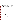many years in the upper soil layers. Some volatilization or photolysis loss may occur. Heptachlor epoxide adsorbs strongly to soil and is extremely resistant to biodegradation, persisting for

 Release of heptachlor to water will result in hydrolysis to 1-hydroxychlordene (half-life of about 1 day) and volatilization. Adsorption to sediments may occur. Biodegradation of heptachlor may occur, but is expected to be slow compared to hydrolysis. Direct and photosensitized photolysis may occur but are not suspended and bottom sediment when released to water. Little biodegradation is expected. expected to occur at a rate comparable to that of hydrolysis. Heptachlor epoxide will adsorb strongly to

 In air, vapor phase heptachlor will react with photochemically generated hydroxyl radicals with an both the vapor and particulate phases in ambient air. Vapor phase reactions with photochemically produced hydroxyl radical may be an important fate process (an estimated half-life of 1.5 days). settling and washout by rain. Due to its stability, long range dispersal occurs, resulting in the contamination of remote areas. Some photolysis loss probably occurs but there is no data to evaluate the rate of this process. estimated half-life of 36 min. Direct photolysis may also occur. Heptachlor epoxide is expected to exist in Heptachlor epoxide that associated with particulate matter and aerosols should be subject to gravitational

 various fish species. Bioconcentration may be limited, however, by the rapidity of heptachlor hydrolysis in Bioconcentration of heptachlor may be significant: bioconcentration factors average around 12,000 in water and the adsorption of heptachlor to sediments. Heptachlor epoxide is bioconcentrated extensively. It is taken up into the food chain by plants and bioconcentrates into fish, animals and milk.

# **Chemical/ Physical Properties**

CAS Number: Heptachlor- 76-44-8; Heptachlor epoxide- 1024-57-3

 Color/ Form/Odor: White to light tan waxy solid with a camphor-like odor. Available as emulsifiable concentrates and oil solutions. The epoxide is formed from heptachlor in the environment.

M.P.: 95-96 C B.P.: 145 C

M.P.: 95-96 C B.P.: 145 C<br>Octanol/Water Partition (Kow): Log Kow = 3.9 to 5.4 (est.)

Density/Spec. Grav.: 1.57 at 9 C

Solubility: 0.03 mg/L of water at 25 C; insoluble in water

Vapor Pressure: 3x10-4 mm Hg at 25 C

Soil sorption coefficient: Log Koc estimated at 4.48; low to very low mobility in soil

Odor/Taste Thresholds: N/A

Bioconcentration Factor: 5000 to 15,000 in fish; potential to bioconcentrate in aquatic organisms.

Henry's Law Coefficient: 2.62x10-3 atm-cu m/mole;

 Heptamul, Heptox, Gold Crest H-60, Rhodiachlor, Velsicol 104, Basaklor, Soleptax, Termide Trade Names/Synonyms: 3-Chlorochlordene; Aahepta; Agroceres, Hepta, Heptachlordane, Heptagran,